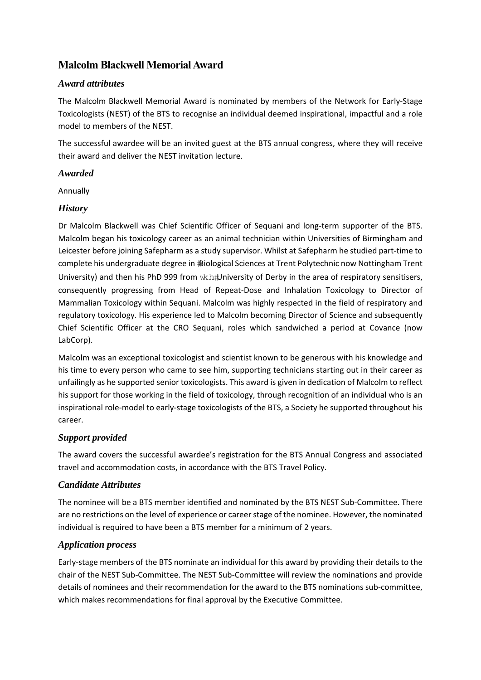# **Malcolm Blackwell Memorial Award**

#### *Award attributes*

The Malcolm Blackwell Memorial Award is nominated by members of the Network for Early‐Stage Toxicologists (NEST) of the BTS to recognise an individual deemed inspirational, impactful and a role model to members of the NEST.

The successful awardee will be an invited guest at the BTS annual congress, where they will receive their award and deliver the NEST invitation lecture.

#### *Awarded*

Annually

## *History*

Dr Malcolm Blackwell was Chief Scientific Officer of Sequani and long-term supporter of the BTS. Malcolm began his toxicology career as an animal technician within Universities of Birmingham and Leicester before joining Safepharm as a study supervisor. Whilst at Safepharm he studied part-time to complete his undergraduate degree in *Biological Sciences at Trent Polytechnic now Nottingham Trent* University) and then his PhD 999 from wkh#University of Derby in the area of respiratory sensitisers, consequently progressing from Head of Repeat‐Dose and Inhalation Toxicology to Director of Mammalian Toxicology within Sequani. Malcolm was highly respected in the field of respiratory and regulatory toxicology. His experience led to Malcolm becoming Director of Science and subsequently Chief Scientific Officer at the CRO Sequani, roles which sandwiched a period at Covance (now LabCorp).

Malcolm was an exceptional toxicologist and scientist known to be generous with his knowledge and his time to every person who came to see him, supporting technicians starting out in their career as unfailingly as he supported senior toxicologists. This award is given in dedication of Malcolm to reflect his support for those working in the field of toxicology, through recognition of an individual who is an inspirational role‐model to early‐stage toxicologists of the BTS, a Society he supported throughout his career.

## *Support provided*

The award covers the successful awardee's registration for the BTS Annual Congress and associated travel and accommodation costs, in accordance with the BTS Travel Policy.

## *Candidate Attributes*

The nominee will be a BTS member identified and nominated by the BTS NEST Sub‐Committee. There are no restrictions on the level of experience or career stage of the nominee. However, the nominated individual is required to have been a BTS member for a minimum of 2 years.

## *Application process*

Early‐stage members of the BTS nominate an individual for this award by providing their details to the chair of the NEST Sub‐Committee. The NEST Sub‐Committee will review the nominations and provide details of nominees and their recommendation for the award to the BTS nominations sub‐committee, which makes recommendations for final approval by the Executive Committee.